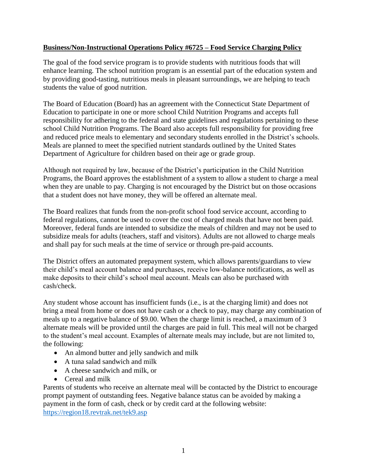## **Business/Non-Instructional Operations Policy #6725 – Food Service Charging Policy**

The goal of the food service program is to provide students with nutritious foods that will enhance learning. The school nutrition program is an essential part of the education system and by providing good-tasting, nutritious meals in pleasant surroundings, we are helping to teach students the value of good nutrition.

The Board of Education (Board) has an agreement with the Connecticut State Department of Education to participate in one or more school Child Nutrition Programs and accepts full responsibility for adhering to the federal and state guidelines and regulations pertaining to these school Child Nutrition Programs. The Board also accepts full responsibility for providing free and reduced price meals to elementary and secondary students enrolled in the District's schools. Meals are planned to meet the specified nutrient standards outlined by the United States Department of Agriculture for children based on their age or grade group.

Although not required by law, because of the District's participation in the Child Nutrition Programs, the Board approves the establishment of a system to allow a student to charge a meal when they are unable to pay. Charging is not encouraged by the District but on those occasions that a student does not have money, they will be offered an alternate meal.

The Board realizes that funds from the non-profit school food service account, according to federal regulations, cannot be used to cover the cost of charged meals that have not been paid. Moreover, federal funds are intended to subsidize the meals of children and may not be used to subsidize meals for adults (teachers, staff and visitors). Adults are not allowed to charge meals and shall pay for such meals at the time of service or through pre-paid accounts.

The District offers an automated prepayment system, which allows parents/guardians to view their child's meal account balance and purchases, receive low-balance notifications, as well as make deposits to their child's school meal account. Meals can also be purchased with cash/check.

Any student whose account has insufficient funds (i.e., is at the charging limit) and does not bring a meal from home or does not have cash or a check to pay, may charge any combination of meals up to a negative balance of \$9.00. When the charge limit is reached, a maximum of 3 alternate meals will be provided until the charges are paid in full. This meal will not be charged to the student's meal account. Examples of alternate meals may include, but are not limited to, the following:

- An almond butter and jelly sandwich and milk
- A tuna salad sandwich and milk
- A cheese sandwich and milk, or
- Cereal and milk

Parents of students who receive an alternate meal will be contacted by the District to encourage prompt payment of outstanding fees. Negative balance status can be avoided by making a payment in the form of cash, check or by credit card at the following website: <https://region18.revtrak.net/tek9.asp>